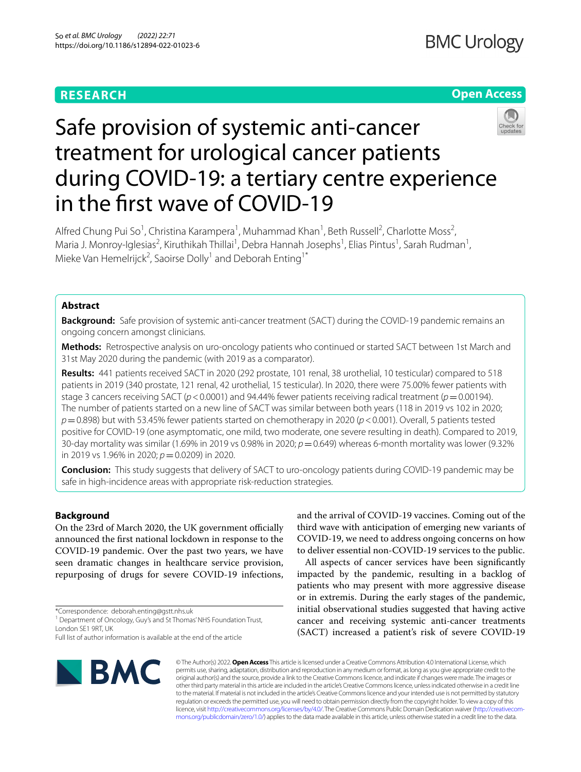# **RESEARCH**

## **Open Access**



# Safe provision of systemic anti-cancer treatment for urological cancer patients during COVID-19: a tertiary centre experience in the frst wave of COVID-19

Alfred Chung Pui So<sup>1</sup>, Christina Karampera<sup>1</sup>, Muhammad Khan<sup>1</sup>, Beth Russell<sup>2</sup>, Charlotte Moss<sup>2</sup>, Maria J. Monroy-Iglesias<sup>2</sup>, Kiruthikah Thillai<sup>1</sup>, Debra Hannah Josephs<sup>1</sup>, Elias Pintus<sup>1</sup>, Sarah Rudman<sup>1</sup>, Mieke Van Hemelrijck<sup>2</sup>, Saoirse Dolly<sup>1</sup> and Deborah Enting<sup>1\*</sup>

## **Abstract**

**Background:** Safe provision of systemic anti-cancer treatment (SACT) during the COVID-19 pandemic remains an ongoing concern amongst clinicians.

**Methods:** Retrospective analysis on uro-oncology patients who continued or started SACT between 1st March and 31st May 2020 during the pandemic (with 2019 as a comparator).

**Results:** 441 patients received SACT in 2020 (292 prostate, 101 renal, 38 urothelial, 10 testicular) compared to 518 patients in 2019 (340 prostate, 121 renal, 42 urothelial, 15 testicular). In 2020, there were 75.00% fewer patients with stage 3 cancers receiving SACT ( $p < 0.0001$ ) and 94.44% fewer patients receiving radical treatment ( $p = 0.00194$ ). The number of patients started on a new line of SACT was similar between both years (118 in 2019 vs 102 in 2020; *p*=0.898) but with 53.45% fewer patients started on chemotherapy in 2020 (*p*<0.001). Overall, 5 patients tested positive for COVID-19 (one asymptomatic, one mild, two moderate, one severe resulting in death). Compared to 2019, 30-day mortality was similar (1.69% in 2019 vs 0.98% in 2020; *p*=0.649) whereas 6-month mortality was lower (9.32% in 2019 vs 1.96% in 2020;  $p = 0.0209$ ) in 2020.

**Conclusion:** This study suggests that delivery of SACT to uro-oncology patients during COVID-19 pandemic may be safe in high-incidence areas with appropriate risk-reduction strategies.

## **Background**

On the 23rd of March 2020, the UK government officially announced the frst national lockdown in response to the COVID-19 pandemic. Over the past two years, we have seen dramatic changes in healthcare service provision, repurposing of drugs for severe COVID-19 infections,

\*Correspondence: deborah.enting@gstt.nhs.uk

<sup>1</sup> Department of Oncology, Guy's and St Thomas' NHS Foundation Trust, London SE1 9RT, UK

and the arrival of COVID-19 vaccines. Coming out of the third wave with anticipation of emerging new variants of COVID-19, we need to address ongoing concerns on how to deliver essential non-COVID-19 services to the public.

All aspects of cancer services have been signifcantly impacted by the pandemic, resulting in a backlog of patients who may present with more aggressive disease or in extremis. During the early stages of the pandemic, initial observational studies suggested that having active cancer and receiving systemic anti-cancer treatments (SACT) increased a patient's risk of severe COVID-19



© The Author(s) 2022. **Open Access** This article is licensed under a Creative Commons Attribution 4.0 International License, which permits use, sharing, adaptation, distribution and reproduction in any medium or format, as long as you give appropriate credit to the original author(s) and the source, provide a link to the Creative Commons licence, and indicate if changes were made. The images or other third party material in this article are included in the article's Creative Commons licence, unless indicated otherwise in a credit line to the material. If material is not included in the article's Creative Commons licence and your intended use is not permitted by statutory regulation or exceeds the permitted use, you will need to obtain permission directly from the copyright holder. To view a copy of this licence, visit [http://creativecommons.org/licenses/by/4.0/.](http://creativecommons.org/licenses/by/4.0/) The Creative Commons Public Domain Dedication waiver (http://creativecom[mons.org/publicdomain/zero/1.0/\)](http://creativecommons.org/publicdomain/zero/1.0/) applies to the data made available in this article, unless otherwise stated in a credit line to the data.

Full list of author information is available at the end of the article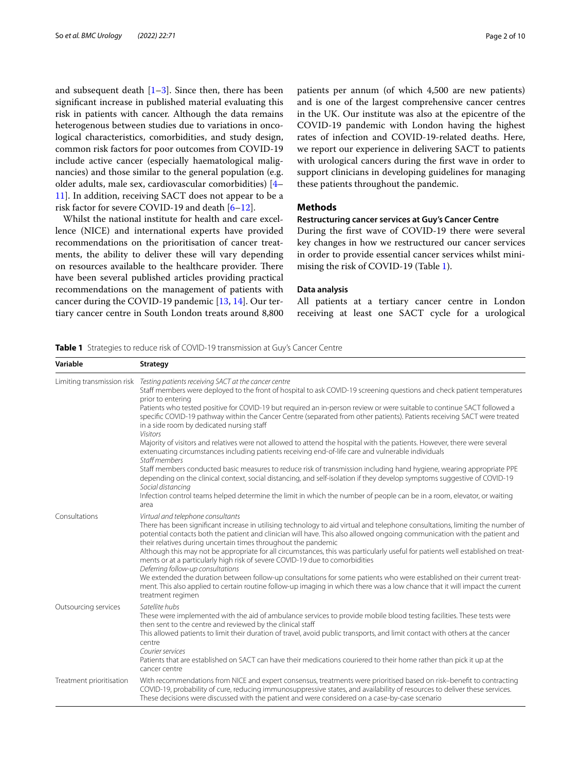and subsequent death  $[1-3]$  $[1-3]$  $[1-3]$ . Since then, there has been signifcant increase in published material evaluating this risk in patients with cancer. Although the data remains heterogenous between studies due to variations in oncological characteristics, comorbidities, and study design, common risk factors for poor outcomes from COVID-19 include active cancer (especially haematological malignancies) and those similar to the general population (e.g. older adults, male sex, cardiovascular comorbidities) [[4–](#page-8-2) [11\]](#page-8-3). In addition, receiving SACT does not appear to be a risk factor for severe COVID-19 and death [\[6–](#page-8-4)[12\]](#page-8-5).

Whilst the national institute for health and care excellence (NICE) and international experts have provided recommendations on the prioritisation of cancer treatments, the ability to deliver these will vary depending on resources available to the healthcare provider. There have been several published articles providing practical recommendations on the management of patients with cancer during the COVID-19 pandemic [[13](#page-8-6), [14\]](#page-8-7). Our tertiary cancer centre in South London treats around 8,800

patients per annum (of which 4,500 are new patients) and is one of the largest comprehensive cancer centres in the UK. Our institute was also at the epicentre of the COVID-19 pandemic with London having the highest rates of infection and COVID-19-related deaths. Here, we report our experience in delivering SACT to patients with urological cancers during the frst wave in order to support clinicians in developing guidelines for managing these patients throughout the pandemic.

## **Methods**

## **Restructuring cancer services at Guy's Cancer Centre**

During the frst wave of COVID-19 there were several key changes in how we restructured our cancer services in order to provide essential cancer services whilst minimising the risk of COVID-19 (Table [1](#page-1-0)).

#### **Data analysis**

All patients at a tertiary cancer centre in London receiving at least one SACT cycle for a urological

<span id="page-1-0"></span>

|  |  |  |  |  |  | <b>Table 1</b> Strategies to reduce risk of COVID-19 transmission at Guy's Cancer Centre |
|--|--|--|--|--|--|------------------------------------------------------------------------------------------|
|--|--|--|--|--|--|------------------------------------------------------------------------------------------|

| Variable                   | Strategy                                                                                                                                                                                                                                                                                                                                                                                                                                                    |
|----------------------------|-------------------------------------------------------------------------------------------------------------------------------------------------------------------------------------------------------------------------------------------------------------------------------------------------------------------------------------------------------------------------------------------------------------------------------------------------------------|
| Limiting transmission risk | Testing patients receiving SACT at the cancer centre<br>Staff members were deployed to the front of hospital to ask COVID-19 screening questions and check patient temperatures<br>prior to entering<br>Patients who tested positive for COVID-19 but required an in-person review or were suitable to continue SACT followed a<br>specific COVID-19 pathway within the Cancer Centre (separated from other patients). Patients receiving SACT were treated |
|                            | in a side room by dedicated nursing staff<br><b>Visitors</b><br>Majority of visitors and relatives were not allowed to attend the hospital with the patients. However, there were several                                                                                                                                                                                                                                                                   |
|                            | extenuating circumstances including patients receiving end-of-life care and vulnerable individuals<br>Staff members<br>Staff members conducted basic measures to reduce risk of transmission including hand hygiene, wearing appropriate PPE                                                                                                                                                                                                                |
|                            | depending on the clinical context, social distancing, and self-isolation if they develop symptoms suggestive of COVID-19<br>Social distancing                                                                                                                                                                                                                                                                                                               |
|                            | Infection control teams helped determine the limit in which the number of people can be in a room, elevator, or waiting<br>area                                                                                                                                                                                                                                                                                                                             |
| Consultations              | Virtual and telephone consultants<br>There has been significant increase in utilising technology to aid virtual and telephone consultations, limiting the number of<br>potential contacts both the patient and clinician will have. This also allowed ongoing communication with the patient and<br>their relatives during uncertain times throughout the pandemic                                                                                          |
|                            | Although this may not be appropriate for all circumstances, this was particularly useful for patients well established on treat-<br>ments or at a particularly high risk of severe COVID-19 due to comorbidities<br>Deferring follow-up consultations                                                                                                                                                                                                       |
|                            | We extended the duration between follow-up consultations for some patients who were established on their current treat-<br>ment. This also applied to certain routine follow-up imaging in which there was a low chance that it will impact the current<br>treatment regimen                                                                                                                                                                                |
| Outsourcing services       | Satellite hubs<br>These were implemented with the aid of ambulance services to provide mobile blood testing facilities. These tests were<br>then sent to the centre and reviewed by the clinical staff                                                                                                                                                                                                                                                      |
|                            | This allowed patients to limit their duration of travel, avoid public transports, and limit contact with others at the cancer<br>centre<br>Courier services                                                                                                                                                                                                                                                                                                 |
|                            | Patients that are established on SACT can have their medications couriered to their home rather than pick it up at the<br>cancer centre                                                                                                                                                                                                                                                                                                                     |
| Treatment prioritisation   | With recommendations from NICE and expert consensus, treatments were prioritised based on risk-benefit to contracting<br>COVID-19, probability of cure, reducing immunosuppressive states, and availability of resources to deliver these services.<br>These decisions were discussed with the patient and were considered on a case-by-case scenario                                                                                                       |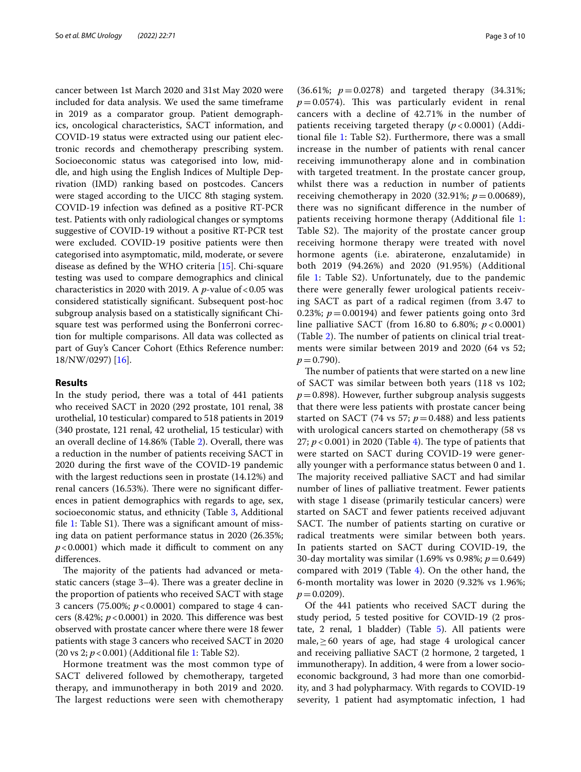cancer between 1st March 2020 and 31st May 2020 were included for data analysis. We used the same timeframe in 2019 as a comparator group. Patient demographics, oncological characteristics, SACT information, and COVID-19 status were extracted using our patient electronic records and chemotherapy prescribing system. Socioeconomic status was categorised into low, middle, and high using the English Indices of Multiple Deprivation (IMD) ranking based on postcodes. Cancers were staged according to the UICC 8th staging system. COVID-19 infection was defned as a positive RT-PCR test. Patients with only radiological changes or symptoms suggestive of COVID-19 without a positive RT-PCR test were excluded. COVID-19 positive patients were then categorised into asymptomatic, mild, moderate, or severe disease as defned by the WHO criteria [[15\]](#page-8-8). Chi-square testing was used to compare demographics and clinical characteristics in 2020 with 2019. A  $p$ -value of <0.05 was considered statistically signifcant. Subsequent post-hoc subgroup analysis based on a statistically signifcant Chisquare test was performed using the Bonferroni correction for multiple comparisons. All data was collected as part of Guy's Cancer Cohort (Ethics Reference number: 18/NW/0297) [[16\]](#page-8-9).

## **Results**

In the study period, there was a total of 441 patients who received SACT in 2020 (292 prostate, 101 renal, 38 urothelial, 10 testicular) compared to 518 patients in 2019 (340 prostate, 121 renal, 42 urothelial, 15 testicular) with an overall decline of 14.86% (Table [2\)](#page-3-0). Overall, there was a reduction in the number of patients receiving SACT in 2020 during the frst wave of the COVID-19 pandemic with the largest reductions seen in prostate (14.12%) and renal cancers (16.53%). There were no significant differences in patient demographics with regards to age, sex, socioeconomic status, and ethnicity (Table [3,](#page-4-0) Additional file [1:](#page-7-0) Table S1). There was a significant amount of missing data on patient performance status in 2020 (26.35%;  $p$ <0.0001) which made it difficult to comment on any diferences.

The majority of the patients had advanced or metastatic cancers (stage  $3-4$ ). There was a greater decline in the proportion of patients who received SACT with stage 3 cancers (75.00%; *p*<0.0001) compared to stage 4 cancers (8.42%;  $p < 0.0001$ ) in 2020. This difference was best observed with prostate cancer where there were 18 fewer patients with stage 3 cancers who received SACT in 2020 (20 vs 2; *p*<0.001) (Additional fle [1](#page-7-0): Table S2).

Hormone treatment was the most common type of SACT delivered followed by chemotherapy, targeted therapy, and immunotherapy in both 2019 and 2020. The largest reductions were seen with chemotherapy (36.61%; *p*=0.0278) and targeted therapy (34.31%;  $p=0.0574$ ). This was particularly evident in renal cancers with a decline of 42.71% in the number of patients receiving targeted therapy (*p* < 0.0001) (Additional fle [1:](#page-7-0) Table S2). Furthermore, there was a small increase in the number of patients with renal cancer receiving immunotherapy alone and in combination with targeted treatment. In the prostate cancer group, whilst there was a reduction in number of patients receiving chemotherapy in 2020 (32.91%; *p*=0.00689), there was no signifcant diference in the number of patients receiving hormone therapy (Additional fle [1](#page-7-0): Table S2). The majority of the prostate cancer group receiving hormone therapy were treated with novel hormone agents (i.e. abiraterone, enzalutamide) in both 2019 (94.26%) and 2020 (91.95%) (Additional file [1:](#page-7-0) Table S2). Unfortunately, due to the pandemic there were generally fewer urological patients receiving SACT as part of a radical regimen (from 3.47 to 0.23%;  $p = 0.00194$ ) and fewer patients going onto 3rd line palliative SACT (from 16.80 to 6.80%; *p* < 0.0001) (Table  $2$ ). The number of patients on clinical trial treatments were similar between 2019 and 2020 (64 vs 52;  $p=0.790$ ).

The number of patients that were started on a new line of SACT was similar between both years (118 vs 102;  $p=0.898$ ). However, further subgroup analysis suggests that there were less patients with prostate cancer being started on SACT (74 vs 57;  $p = 0.488$ ) and less patients with urological cancers started on chemotherapy (58 vs 27;  $p < 0.001$ ) in 2020 (Table [4](#page-5-0)). The type of patients that were started on SACT during COVID-19 were generally younger with a performance status between 0 and 1. The majority received palliative SACT and had similar number of lines of palliative treatment. Fewer patients with stage 1 disease (primarily testicular cancers) were started on SACT and fewer patients received adjuvant SACT. The number of patients starting on curative or radical treatments were similar between both years. In patients started on SACT during COVID-19, the 30-day mortality was similar (1.69% vs 0.98%; *p*=0.649) compared with 2019 (Table [4](#page-5-0)). On the other hand, the 6-month mortality was lower in 2020 (9.32% vs 1.96%;  $p = 0.0209$ .

Of the 441 patients who received SACT during the study period, 5 tested positive for COVID-19 (2 prostate, 2 renal, 1 bladder) (Table [5\)](#page-7-1). All patients were male,≥60 years of age, had stage 4 urological cancer and receiving palliative SACT (2 hormone, 2 targeted, 1 immunotherapy). In addition, 4 were from a lower socioeconomic background, 3 had more than one comorbidity, and 3 had polypharmacy. With regards to COVID-19 severity, 1 patient had asymptomatic infection, 1 had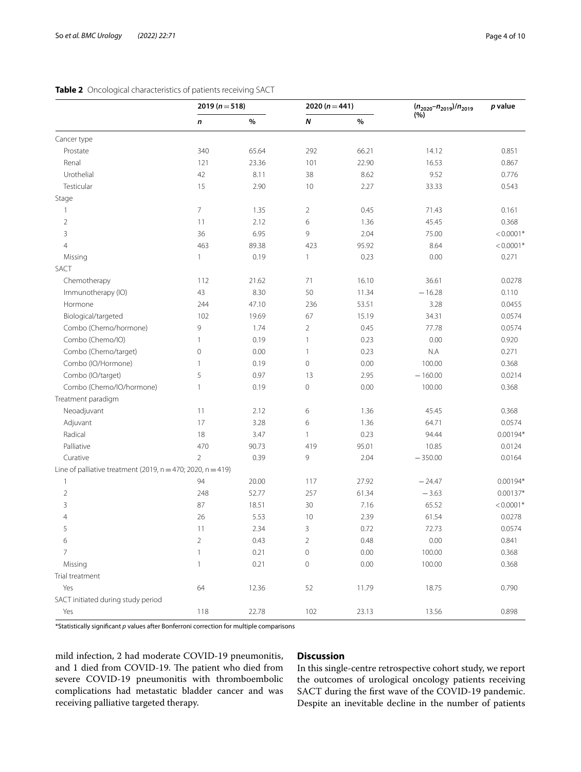<span id="page-3-0"></span>

| <b>Table 2</b> Oncological characteristics of patients receiving SACT |  |  |
|-----------------------------------------------------------------------|--|--|
|-----------------------------------------------------------------------|--|--|

|                                                                   | 2019 ( $n = 518$ ) | 2020 ( $n = 441$ ) |                     |       | $(n_{2020}-n_{2019})/n_{2019}$<br>(%) | $p$ value   |
|-------------------------------------------------------------------|--------------------|--------------------|---------------------|-------|---------------------------------------|-------------|
|                                                                   | n                  | $\%$               | $\boldsymbol{N}$    | %     |                                       |             |
| Cancer type                                                       |                    |                    |                     |       |                                       |             |
| Prostate                                                          | 340                | 65.64              | 292                 | 66.21 | 14.12                                 | 0.851       |
| Renal                                                             | 121                | 23.36              | 101                 | 22.90 | 16.53                                 | 0.867       |
| Urothelial                                                        | 42                 | 8.11               | 38                  | 8.62  | 9.52                                  | 0.776       |
| Testicular                                                        | 15                 | 2.90               | 10                  | 2.27  | 33.33                                 | 0.543       |
| Stage                                                             |                    |                    |                     |       |                                       |             |
| 1                                                                 | $\overline{7}$     | 1.35               | $\overline{2}$      | 0.45  | 71.43                                 | 0.161       |
| $\overline{2}$                                                    | 11                 | 2.12               | 6                   | 1.36  | 45.45                                 | 0.368       |
| 3                                                                 | 36                 | 6.95               | $\,9$               | 2.04  | 75.00                                 | $< 0.0001*$ |
| $\overline{4}$                                                    | 463                | 89.38              | 423                 | 95.92 | 8.64                                  | $< 0.0001*$ |
| Missing                                                           | 1                  | 0.19               | $\mathbf{1}$        | 0.23  | 0.00                                  | 0.271       |
| SACT                                                              |                    |                    |                     |       |                                       |             |
| Chemotherapy                                                      | 112                | 21.62              | 71                  | 16.10 | 36.61                                 | 0.0278      |
| Immunotherapy (IO)                                                | 43                 | 8.30               | 50                  | 11.34 | $-16.28$                              | 0.110       |
| Hormone                                                           | 244                | 47.10              | 236                 | 53.51 | 3.28                                  | 0.0455      |
| Biological/targeted                                               | 102                | 19.69              | 67                  | 15.19 | 34.31                                 | 0.0574      |
| Combo (Chemo/hormone)                                             | 9                  | 1.74               | $\overline{2}$      | 0.45  | 77.78                                 | 0.0574      |
| Combo (Chemo/IO)                                                  | $\mathbf{1}$       | 0.19               | $\mathbf{1}$        | 0.23  | 0.00                                  | 0.920       |
| Combo (Chemo/target)                                              | $\mathbf 0$        | 0.00               | $\mathbf{1}$        | 0.23  | $\mathsf{N}.\mathsf{A}$               | 0.271       |
| Combo (IO/Hormone)                                                | 1                  | 0.19               | $\circ$             | 0.00  | 100.00                                | 0.368       |
| Combo (IO/target)                                                 | 5                  | 0.97               | 13                  | 2.95  | $-160.00$                             | 0.0214      |
| Combo (Chemo/IO/hormone)                                          | $\mathbf{1}$       | 0.19               | $\mathbb O$         | 0.00  | 100.00                                | 0.368       |
| Treatment paradigm                                                |                    |                    |                     |       |                                       |             |
| Neoadjuvant                                                       | 11                 | 2.12               | 6                   | 1.36  | 45.45                                 | 0.368       |
| Adjuvant                                                          | 17                 | 3.28               | 6                   | 1.36  | 64.71                                 | 0.0574      |
| Radical                                                           | 18                 | 3.47               | $\mathbf{1}$        | 0.23  | 94.44                                 | $0.00194*$  |
| Palliative                                                        | 470                | 90.73              | 419                 | 95.01 | 10.85                                 | 0.0124      |
| Curative                                                          | $\overline{2}$     | 0.39               | 9                   | 2.04  | $-350.00$                             | 0.0164      |
| Line of palliative treatment (2019, $n = 470$ ; 2020, $n = 419$ ) |                    |                    |                     |       |                                       |             |
| 1                                                                 | 94                 | 20.00              | 117                 | 27.92 | $-24.47$                              | $0.00194*$  |
| $\overline{2}$                                                    | 248                | 52.77              | 257                 | 61.34 | $-3.63$                               | $0.00137*$  |
| 3                                                                 | 87                 | 18.51              | 30                  | 7.16  | 65.52                                 | $< 0.0001*$ |
| $\overline{4}$                                                    | 26                 | 5.53               | 10                  | 2.39  | 61.54                                 | 0.0278      |
| 5                                                                 | 11                 | 2.34               | 3                   | 0.72  | 72.73                                 | 0.0574      |
| 6                                                                 | 2                  | 0.43               | 2                   | 0.48  | 0.00                                  | 0.841       |
| 7                                                                 | 1                  | 0.21               | $\mathsf{O}\xspace$ | 0.00  | 100.00                                | 0.368       |
| Missing                                                           | 1                  | 0.21               | $\mathsf{O}\xspace$ | 0.00  | 100.00                                | 0.368       |
| Trial treatment                                                   |                    |                    |                     |       |                                       |             |
| Yes                                                               | 64                 | 12.36              | 52                  | 11.79 | 18.75                                 | 0.790       |
| SACT initiated during study period                                |                    |                    |                     |       |                                       |             |
| Yes                                                               | 118                | 22.78              | 102                 | 23.13 | 13.56                                 | 0.898       |

\*Statistically signifcant *p* values after Bonferroni correction for multiple comparisons

mild infection, 2 had moderate COVID-19 pneumonitis, and 1 died from COVID-19. The patient who died from severe COVID-19 pneumonitis with thromboembolic complications had metastatic bladder cancer and was receiving palliative targeted therapy.

## **Discussion**

In this single-centre retrospective cohort study, we report the outcomes of urological oncology patients receiving SACT during the frst wave of the COVID-19 pandemic. Despite an inevitable decline in the number of patients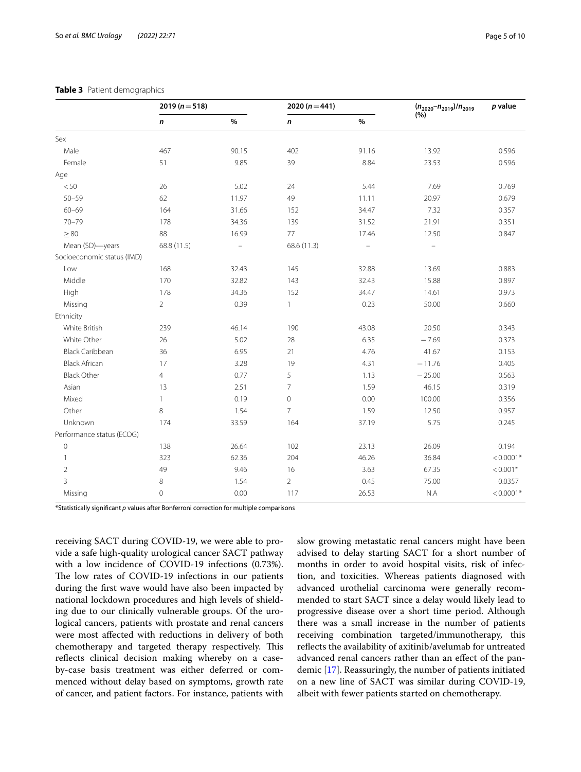<span id="page-4-0"></span>

|                            | 2019 ( $n = 518$ ) |          |                |               | $(n_{2020}-n_{2019})/n_{2019}$<br>(%) | p value     |
|----------------------------|--------------------|----------|----------------|---------------|---------------------------------------|-------------|
|                            | n                  | $\%$     | n              | $\frac{9}{0}$ |                                       |             |
| Sex                        |                    |          |                |               |                                       |             |
| Male                       | 467                | 90.15    | 402            | 91.16         | 13.92                                 | 0.596       |
| Female                     | 51                 | 9.85     | 39             | 8.84          | 23.53                                 | 0.596       |
| Age                        |                    |          |                |               |                                       |             |
| < 50                       | 26                 | 5.02     | 24             | 5.44          | 7.69                                  | 0.769       |
| $50 - 59$                  | 62                 | 11.97    | 49             | 11.11         | 20.97                                 | 0.679       |
| $60 - 69$                  | 164                | 31.66    | 152            | 34.47         | 7.32                                  | 0.357       |
| $70 - 79$                  | 178                | 34.36    | 139            | 31.52         | 21.91                                 | 0.351       |
| $\geq 80$                  | 88                 | 16.99    | 77             | 17.46         | 12.50                                 | 0.847       |
| Mean (SD)-years            | 68.8 (11.5)        | $\equiv$ | 68.6 (11.3)    | $\equiv$      | $\qquad \qquad -$                     |             |
| Socioeconomic status (IMD) |                    |          |                |               |                                       |             |
| Low                        | 168                | 32.43    | 145            | 32.88         | 13.69                                 | 0.883       |
| Middle                     | 170                | 32.82    | 143            | 32.43         | 15.88                                 | 0.897       |
| High                       | 178                | 34.36    | 152            | 34.47         | 14.61                                 | 0.973       |
| Missing                    | $\overline{2}$     | 0.39     | $\mathbf{1}$   | 0.23          | 50.00                                 | 0.660       |
| Ethnicity                  |                    |          |                |               |                                       |             |
| White British              | 239                | 46.14    | 190            | 43.08         | 20.50                                 | 0.343       |
| White Other                | 26                 | 5.02     | 28             | 6.35          | $-7.69$                               | 0.373       |
| <b>Black Caribbean</b>     | 36                 | 6.95     | 21             | 4.76          | 41.67                                 | 0.153       |
| <b>Black African</b>       | 17                 | 3.28     | 19             | 4.31          | $-11.76$                              | 0.405       |
| <b>Black Other</b>         | $\overline{4}$     | 0.77     | 5              | 1.13          | $-25.00$                              | 0.563       |
| Asian                      | 13                 | 2.51     | 7              | 1.59          | 46.15                                 | 0.319       |
| Mixed                      | $\mathbf{1}$       | 0.19     | $\circ$        | 0.00          | 100.00                                | 0.356       |
| Other                      | 8                  | 1.54     | $\overline{7}$ | 1.59          | 12.50                                 | 0.957       |
| Unknown                    | 174                | 33.59    | 164            | 37.19         | 5.75                                  | 0.245       |
| Performance status (ECOG)  |                    |          |                |               |                                       |             |
| $\mathbf 0$                | 138                | 26.64    | 102            | 23.13         | 26.09                                 | 0.194       |
| 1                          | 323                | 62.36    | 204            | 46.26         | 36.84                                 | $< 0.0001*$ |
| $\overline{2}$             | 49                 | 9.46     | 16             | 3.63          | 67.35                                 | $< 0.001*$  |
| 3                          | 8                  | 1.54     | $\overline{2}$ | 0.45          | 75.00                                 | 0.0357      |
| Missing                    | 0                  | 0.00     | 117            | 26.53         | N.A                                   | $< 0.0001*$ |

\*Statistically signifcant *p* values after Bonferroni correction for multiple comparisons

receiving SACT during COVID-19, we were able to provide a safe high-quality urological cancer SACT pathway with a low incidence of COVID-19 infections (0.73%). The low rates of COVID-19 infections in our patients during the frst wave would have also been impacted by national lockdown procedures and high levels of shielding due to our clinically vulnerable groups. Of the urological cancers, patients with prostate and renal cancers were most afected with reductions in delivery of both chemotherapy and targeted therapy respectively. This reflects clinical decision making whereby on a caseby-case basis treatment was either deferred or commenced without delay based on symptoms, growth rate of cancer, and patient factors. For instance, patients with slow growing metastatic renal cancers might have been advised to delay starting SACT for a short number of months in order to avoid hospital visits, risk of infection, and toxicities. Whereas patients diagnosed with advanced urothelial carcinoma were generally recommended to start SACT since a delay would likely lead to progressive disease over a short time period. Although there was a small increase in the number of patients receiving combination targeted/immunotherapy, this refects the availability of axitinib/avelumab for untreated advanced renal cancers rather than an efect of the pandemic [\[17](#page-8-10)]. Reassuringly, the number of patients initiated on a new line of SACT was similar during COVID-19, albeit with fewer patients started on chemotherapy.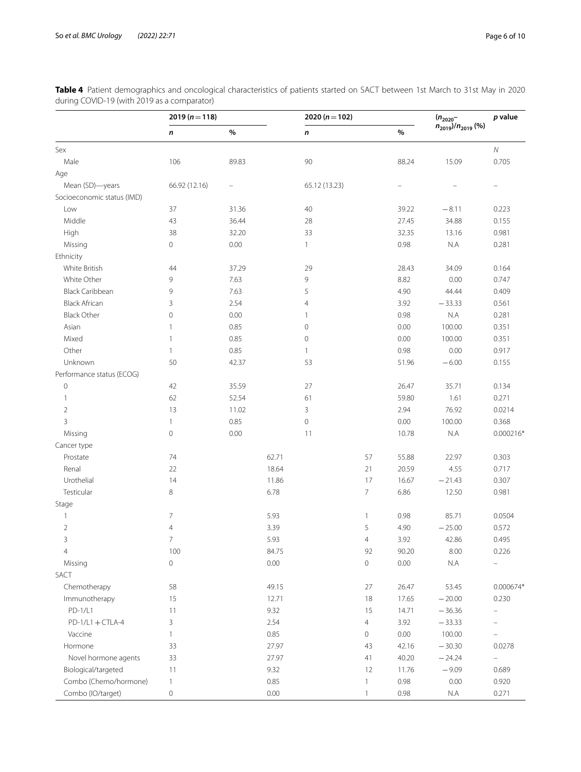|                            | $2019(n=118)$  |       |       | 2020 ( $n = 102$ ) |                     |                          | $(n_{2020} -$                | p value                  |
|----------------------------|----------------|-------|-------|--------------------|---------------------|--------------------------|------------------------------|--------------------------|
|                            | $\pmb{n}$      | $\%$  |       | n                  |                     | $\%$                     | $n_{2019}$ )/ $n_{2019}$ (%) |                          |
| Sex                        |                |       |       |                    |                     |                          |                              | ${\cal N}$               |
| Male                       | 106            | 89.83 |       | 90                 |                     | 88.24                    | 15.09                        | 0.705                    |
| Age                        |                |       |       |                    |                     |                          |                              |                          |
| Mean (SD)-years            | 66.92 (12.16)  |       |       | 65.12 (13.23)      |                     | $\overline{\phantom{0}}$ |                              | $\overline{\phantom{0}}$ |
| Socioeconomic status (IMD) |                |       |       |                    |                     |                          |                              |                          |
| Low                        | 37             | 31.36 |       | 40                 |                     | 39.22                    | $-8.11$                      | 0.223                    |
| Middle                     | 43             | 36.44 |       | 28                 |                     | 27.45                    | 34.88                        | 0.155                    |
| High                       | 38             | 32.20 |       | 33                 |                     | 32.35                    | 13.16                        | 0.981                    |
| Missing                    | $\circ$        | 0.00  |       | 1                  |                     | 0.98                     | N.A                          | 0.281                    |
| Ethnicity                  |                |       |       |                    |                     |                          |                              |                          |
| White British              | 44             | 37.29 |       | 29                 |                     | 28.43                    | 34.09                        | 0.164                    |
| White Other                | 9              | 7.63  |       | 9                  |                     | 8.82                     | 0.00                         | 0.747                    |
| Black Caribbean            | 9              | 7.63  |       | 5                  |                     | 4.90                     | 44.44                        | 0.409                    |
| <b>Black African</b>       | 3              | 2.54  |       | $\overline{4}$     |                     | 3.92                     | $-33.33$                     | 0.561                    |
| <b>Black Other</b>         | $\mathbf 0$    | 0.00  |       | 1                  |                     | 0.98                     | $\mathsf{N}.\mathsf{A}$      | 0.281                    |
| Asian                      | $\mathbf{1}$   | 0.85  |       | 0                  |                     | 0.00                     | 100.00                       | 0.351                    |
| Mixed                      | $\mathbf{1}$   | 0.85  |       | 0                  |                     | 0.00                     | 100.00                       | 0.351                    |
| Other                      | $\mathbf{1}$   | 0.85  |       | 1                  |                     | 0.98                     | 0.00                         | 0.917                    |
| Unknown                    | 50             | 42.37 |       | 53                 |                     | 51.96                    | $-6.00$                      | 0.155                    |
| Performance status (ECOG)  |                |       |       |                    |                     |                          |                              |                          |
| $\mathbf 0$                | 42             | 35.59 |       | 27                 |                     | 26.47                    | 35.71                        | 0.134                    |
| $\mathbf{1}$               | 62             | 52.54 |       | 61                 |                     | 59.80                    | 1.61                         | 0.271                    |
| $\overline{2}$             | 13             | 11.02 |       | 3                  |                     | 2.94                     | 76.92                        | 0.0214                   |
| 3                          | $\mathbf{1}$   | 0.85  |       | 0                  |                     | 0.00                     | 100.00                       | 0.368                    |
| Missing                    | $\mathbf 0$    | 0.00  |       | 11                 |                     | 10.78                    | N.A                          | $0.000216*$              |
| Cancer type                |                |       |       |                    |                     |                          |                              |                          |
| Prostate                   | 74             |       | 62.71 |                    | 57                  | 55.88                    | 22.97                        | 0.303                    |
| Renal                      | 22             |       | 18.64 |                    | 21                  | 20.59                    | 4.55                         | 0.717                    |
| Urothelial                 | 14             |       | 11.86 |                    | 17                  | 16.67                    | $-21.43$                     | 0.307                    |
| Testicular                 | 8              |       | 6.78  |                    | 7                   | 6.86                     | 12.50                        | 0.981                    |
| Stage                      |                |       |       |                    |                     |                          |                              |                          |
| $\mathbf{1}$               | $\overline{7}$ |       | 5.93  |                    | 1                   | 0.98                     | 85.71                        | 0.0504                   |
| $\overline{2}$             | $\overline{4}$ |       | 3.39  |                    | 5                   | 4.90                     | $-25.00$                     | 0.572                    |
| 3                          | $\overline{7}$ |       | 5.93  |                    | 4                   | 3.92                     | 42.86                        | 0.495                    |
| 4                          | 100            |       | 84.75 |                    | 92                  | 90.20                    | 8.00                         | 0.226                    |
| Missing                    | $\mathbf 0$    |       | 0.00  |                    | $\mathsf{O}\xspace$ | 0.00                     | $\mathsf{N}.\mathsf{A}$      | $\overline{a}$           |
| SACT                       |                |       |       |                    |                     |                          |                              |                          |
| Chemotherapy               | 58             |       | 49.15 |                    | 27                  | 26.47                    | 53.45                        | $0.000674*$              |
| Immunotherapy              | 15             |       | 12.71 |                    | 18                  | 17.65                    | $-20.00$                     | 0.230                    |
| $PD-1/L1$                  | 11             |       | 9.32  |                    | 15                  | 14.71                    | $-36.36$                     |                          |
| $PD-1/L1+CTLA-4$           | 3              |       | 2.54  |                    | $\overline{4}$      | 3.92                     | $-33.33$                     |                          |
| Vaccine                    | 1              |       | 0.85  |                    | 0                   | 0.00                     | 100.00                       | $\overline{\phantom{0}}$ |
| Hormone                    | 33             |       | 27.97 |                    | 43                  | 42.16                    | $-30.30$                     | 0.0278                   |
| Novel hormone agents       | 33             |       | 27.97 |                    | 41                  | 40.20                    | $-24.24$                     | $\overline{a}$           |
| Biological/targeted        | 11             |       | 9.32  |                    | 12                  | 11.76                    | $-9.09$                      | 0.689                    |
| Combo (Chemo/hormone)      | $\mathbf{1}$   |       | 0.85  |                    | $\mathbf{1}$        | 0.98                     | 0.00                         | 0.920                    |
| Combo (IO/target)          | $\mathbf 0$    |       | 0.00  |                    | 1                   | 0.98                     | N.A                          | 0.271                    |

<span id="page-5-0"></span>**Table 4** Patient demographics and oncological characteristics of patients started on SACT between 1st March to 31st May in 2020 during COVID-19 (with 2019 as a comparator)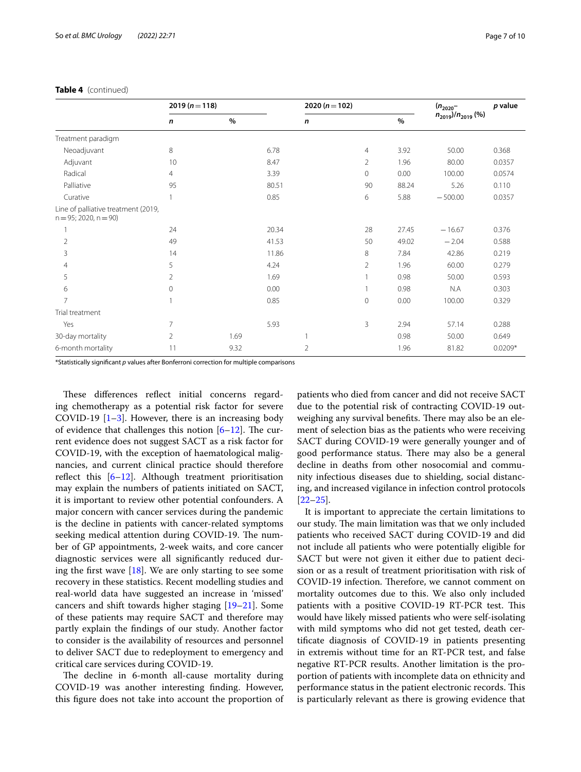|                                                               | 2019 ( $n = 118$ ) |      |       |                | 2020 ( $n = 102$ ) |  |               | $(n_{2020}-$                 | p value   |
|---------------------------------------------------------------|--------------------|------|-------|----------------|--------------------|--|---------------|------------------------------|-----------|
|                                                               | n                  | $\%$ |       | $\mathsf{n}$   |                    |  | $\frac{0}{0}$ | $n_{2019}$ )/ $n_{2019}$ (%) |           |
| Treatment paradigm                                            |                    |      |       |                |                    |  |               |                              |           |
| Neoadjuvant                                                   | 8                  |      | 6.78  |                | $\overline{4}$     |  | 3.92          | 50.00                        | 0.368     |
| Adjuvant                                                      | 10                 |      | 8.47  |                | $\overline{2}$     |  | 1.96          | 80.00                        | 0.0357    |
| Radical                                                       | $\overline{4}$     |      | 3.39  |                | $\mathbf{0}$       |  | 0.00          | 100.00                       | 0.0574    |
| Palliative                                                    | 95                 |      | 80.51 |                | 90                 |  | 88.24         | 5.26                         | 0.110     |
| Curative                                                      |                    |      | 0.85  |                | 6                  |  | 5.88          | $-500.00$                    | 0.0357    |
| Line of palliative treatment (2019,<br>$n = 95; 2020, n = 90$ |                    |      |       |                |                    |  |               |                              |           |
|                                                               | 24                 |      | 20.34 |                | 28                 |  | 27.45         | $-16.67$                     | 0.376     |
| $\overline{2}$                                                | 49                 |      | 41.53 |                | 50                 |  | 49.02         | $-2.04$                      | 0.588     |
| 3                                                             | 14                 |      | 11.86 |                | 8                  |  | 7.84          | 42.86                        | 0.219     |
| 4                                                             | 5                  |      | 4.24  |                | $\overline{2}$     |  | 1.96          | 60.00                        | 0.279     |
| 5                                                             | 2                  |      | 1.69  |                |                    |  | 0.98          | 50.00                        | 0.593     |
| 6                                                             | 0                  |      | 0.00  |                |                    |  | 0.98          | N.A                          | 0.303     |
| $\overline{7}$                                                |                    |      | 0.85  |                | $\mathbf{0}$       |  | 0.00          | 100.00                       | 0.329     |
| Trial treatment                                               |                    |      |       |                |                    |  |               |                              |           |
| Yes                                                           | 7                  |      | 5.93  |                | 3                  |  | 2.94          | 57.14                        | 0.288     |
| 30-day mortality                                              | 2                  | 1.69 |       |                |                    |  | 0.98          | 50.00                        | 0.649     |
| 6-month mortality                                             | 11                 | 9.32 |       | $\overline{2}$ |                    |  | 1.96          | 81.82                        | $0.0209*$ |

## **Table 4** (continued)

\*Statistically signifcant *p* values after Bonferroni correction for multiple comparisons

These differences reflect initial concerns regarding chemotherapy as a potential risk factor for severe COVID-19  $[1-3]$  $[1-3]$ . However, there is an increasing body of evidence that challenges this notion  $[6–12]$  $[6–12]$ . The current evidence does not suggest SACT as a risk factor for COVID-19, with the exception of haematological malignancies, and current clinical practice should therefore reflect this  $[6–12]$  $[6–12]$ . Although treatment prioritisation may explain the numbers of patients initiated on SACT, it is important to review other potential confounders. A major concern with cancer services during the pandemic is the decline in patients with cancer-related symptoms seeking medical attention during COVID-19. The number of GP appointments, 2-week waits, and core cancer diagnostic services were all signifcantly reduced during the first wave  $[18]$  $[18]$ . We are only starting to see some recovery in these statistics. Recent modelling studies and real-world data have suggested an increase in 'missed' cancers and shift towards higher staging [\[19–](#page-8-12)[21\]](#page-8-13). Some of these patients may require SACT and therefore may partly explain the fndings of our study. Another factor to consider is the availability of resources and personnel to deliver SACT due to redeployment to emergency and critical care services during COVID-19.

The decline in 6-month all-cause mortality during COVID-19 was another interesting fnding. However, this fgure does not take into account the proportion of patients who died from cancer and did not receive SACT due to the potential risk of contracting COVID-19 outweighing any survival benefits. There may also be an element of selection bias as the patients who were receiving SACT during COVID-19 were generally younger and of good performance status. There may also be a general decline in deaths from other nosocomial and community infectious diseases due to shielding, social distancing, and increased vigilance in infection control protocols [[22–](#page-8-14)[25\]](#page-9-0).

It is important to appreciate the certain limitations to our study. The main limitation was that we only included patients who received SACT during COVID-19 and did not include all patients who were potentially eligible for SACT but were not given it either due to patient decision or as a result of treatment prioritisation with risk of COVID-19 infection. Therefore, we cannot comment on mortality outcomes due to this. We also only included patients with a positive COVID-19 RT-PCR test. This would have likely missed patients who were self-isolating with mild symptoms who did not get tested, death certifcate diagnosis of COVID-19 in patients presenting in extremis without time for an RT-PCR test, and false negative RT-PCR results. Another limitation is the proportion of patients with incomplete data on ethnicity and performance status in the patient electronic records. This is particularly relevant as there is growing evidence that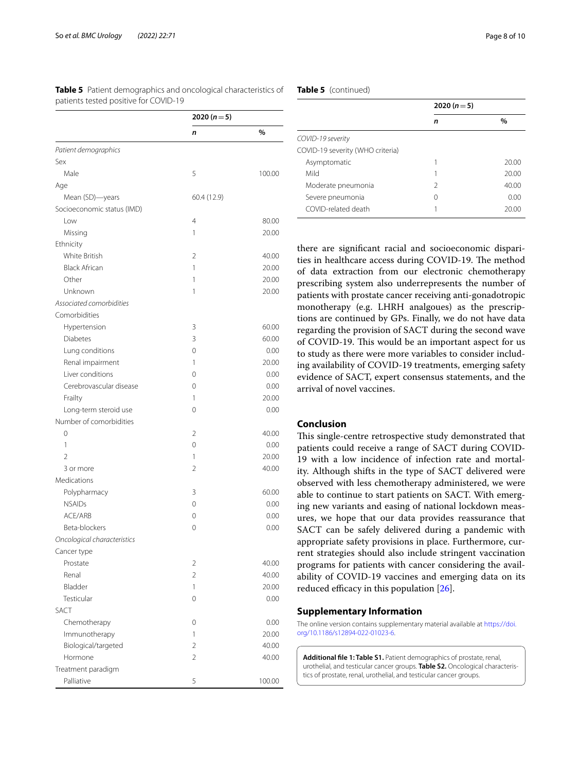|                             | 2020 ( $n = 5$ ) |        |  |
|-----------------------------|------------------|--------|--|
|                             | n                | %      |  |
| Patient demographics        |                  |        |  |
| Sex                         |                  |        |  |
| Male                        | 5                | 100.00 |  |
| Age                         |                  |        |  |
| Mean (SD)-years             | 60.4 (12.9)      |        |  |
| Socioeconomic status (IMD)  |                  |        |  |
| Low                         | 4                | 80.00  |  |
| Missing                     | 1                | 20.00  |  |
| Ethnicity                   |                  |        |  |
| White British               | 2                | 40.00  |  |
| <b>Black African</b>        | 1                | 20.00  |  |
| Other                       | 1                | 20.00  |  |
| Unknown                     | 1                | 20.00  |  |
| Associated comorbidities    |                  |        |  |
| Comorbidities               |                  |        |  |
| Hypertension                | 3                | 60.00  |  |
| <b>Diabetes</b>             | 3                | 60.00  |  |
| Lung conditions             | 0                | 0.00   |  |
| Renal impairment            | 1                | 20.00  |  |
| Liver conditions            | 0                | 0.00   |  |
| Cerebrovascular disease     | 0                | 0.00   |  |
| Frailty                     | 1                | 20.00  |  |
| Long-term steroid use       | 0                | 0.00   |  |
| Number of comorbidities     |                  |        |  |
| 0                           | 2                | 40.00  |  |
| 1                           | 0                | 0.00   |  |
| $\overline{2}$              | 1                | 20.00  |  |
| 3 or more                   | $\overline{2}$   | 40.00  |  |
| Medications                 |                  |        |  |
| Polypharmacy                | 3                | 60.00  |  |
| <b>NSAIDs</b>               | 0                | 0.00   |  |
| ACE/ARB                     | 0                | 0.00   |  |
| Beta-blockers               | 0                | 0.00   |  |
| Oncological characteristics |                  |        |  |
| Cancer type                 |                  |        |  |
| Prostate                    | 2                | 40.00  |  |
| Renal                       | $\overline{2}$   | 40.00  |  |
| Bladder                     | 1                | 20.00  |  |
| Testicular                  | 0                | 0.00   |  |
| SACT                        |                  |        |  |
| Chemotherapy                | 0                | 0.00   |  |
| Immunotherapy               | 1                | 20.00  |  |
| Biological/targeted         | $\overline{2}$   | 40.00  |  |
| Hormone                     | $\overline{2}$   | 40.00  |  |
| Treatment paradigm          |                  |        |  |
| Palliative                  | 5                | 100.00 |  |

## <span id="page-7-1"></span>**Table 5** Patient demographics and oncological characteristics of patients tested positive for COVID-19

## **Table 5** (continued)

|                                  | 2020 ( $n = 5$ ) |       |  |
|----------------------------------|------------------|-------|--|
|                                  | n                | $\%$  |  |
| COVID-19 severity                |                  |       |  |
| COVID-19 severity (WHO criteria) |                  |       |  |
| Asymptomatic                     |                  | 20.00 |  |
| Mild                             |                  | 20.00 |  |
| Moderate pneumonia               | 2                | 40.00 |  |
| Severe pneumonia                 | Ω                | 0.00  |  |
| COVID-related death              |                  | 20.00 |  |

there are signifcant racial and socioeconomic disparities in healthcare access during COVID-19. The method of data extraction from our electronic chemotherapy prescribing system also underrepresents the number of patients with prostate cancer receiving anti-gonadotropic monotherapy (e.g. LHRH analgoues) as the prescriptions are continued by GPs. Finally, we do not have data regarding the provision of SACT during the second wave of COVID-19. This would be an important aspect for us to study as there were more variables to consider including availability of COVID-19 treatments, emerging safety evidence of SACT, expert consensus statements, and the arrival of novel vaccines.

## **Conclusion**

This single-centre retrospective study demonstrated that patients could receive a range of SACT during COVID-19 with a low incidence of infection rate and mortality. Although shifts in the type of SACT delivered were observed with less chemotherapy administered, we were able to continue to start patients on SACT. With emerging new variants and easing of national lockdown measures, we hope that our data provides reassurance that SACT can be safely delivered during a pandemic with appropriate safety provisions in place. Furthermore, current strategies should also include stringent vaccination programs for patients with cancer considering the availability of COVID-19 vaccines and emerging data on its reduced efficacy in this population  $[26]$ .

## **Supplementary Information**

The online version contains supplementary material available at [https://doi.](https://doi.org/10.1186/s12894-022-01023-6) [org/10.1186/s12894-022-01023-6](https://doi.org/10.1186/s12894-022-01023-6).

<span id="page-7-0"></span>**Additional fle 1: Table S1.** Patient demographics of prostate, renal, urothelial, and testicular cancer groups. **Table S2.** Oncological characteris‑ tics of prostate, renal, urothelial, and testicular cancer groups.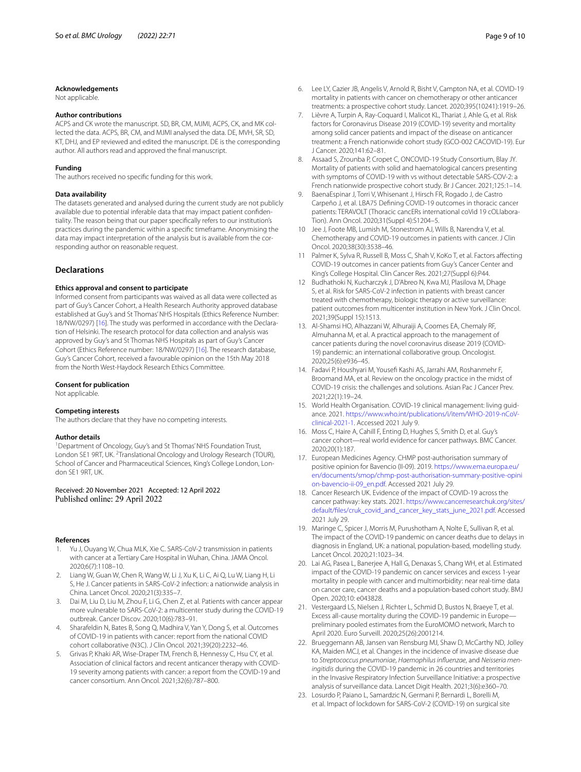#### **Acknowledgements**

Not applicable.

#### **Author contributions**

ACPS and CK wrote the manuscript. SD, BR, CM, MJMI, ACPS, CK, and MK collected the data. ACPS, BR, CM, and MJMI analysed the data. DE, MVH, SR, SD, KT, DHJ, and EP reviewed and edited the manuscript. DE is the corresponding author. All authors read and approved the fnal manuscript.

#### **Funding**

The authors received no specifc funding for this work.

#### **Data availability**

The datasets generated and analysed during the current study are not publicly available due to potential inferable data that may impact patient confidentiality. The reason being that our paper specifcally refers to our institution's practices during the pandemic within a specifc timeframe. Anonymising the data may impact interpretation of the analysis but is available from the corresponding author on reasonable request.

## **Declarations**

#### **Ethics approval and consent to participate**

Informed consent from participants was waived as all data were collected as part of Guy's Cancer Cohort, a Health Research Authority approved database established at Guy's and St Thomas' NHS Hospitals (Ethics Reference Number: 18/NW/0297) [\[16\]](#page-8-9). The study was performed in accordance with the Declaration of Helsinki. The research protocol for data collection and analysis was approved by Guy's and St Thomas NHS Hospitals as part of Guy's Cancer Cohort (Ethics Reference number: 18/NW/0297) [[16](#page-8-9)]. The research database, Guy's Cancer Cohort, received a favourable opinion on the 15th May 2018 from the North West-Haydock Research Ethics Committee.

## **Consent for publication**

Not applicable.

#### **Competing interests**

The authors declare that they have no competing interests.

#### **Author details**

<sup>1</sup> Department of Oncology, Guy's and St Thomas' NHS Foundation Trust, London SE1 9RT, UK. <sup>2</sup> Translational Oncology and Urology Research (TOUR), School of Cancer and Pharmaceutical Sciences, King's College London, London SE1 9RT, UK.

Received: 20 November 2021 Accepted: 12 April 2022

#### **References**

- <span id="page-8-0"></span>1. Yu J, Ouyang W, Chua MLK, Xie C. SARS-CoV-2 transmission in patients with cancer at a Tertiary Care Hospital in Wuhan, China. JAMA Oncol. 2020;6(7):1108–10.
- 2. Liang W, Guan W, Chen R, Wang W, Li J, Xu K, Li C, Ai Q, Lu W, Liang H, Li S, He J. Cancer patients in SARS-CoV-2 infection: a nationwide analysis in China. Lancet Oncol. 2020;21(3):335–7.
- <span id="page-8-1"></span>3. Dai M, Liu D, Liu M, Zhou F, Li G, Chen Z, et al. Patients with cancer appear more vulnerable to SARS-CoV-2: a multicenter study during the COVID-19 outbreak. Cancer Discov. 2020;10(6):783–91.
- <span id="page-8-2"></span>4. Sharafeldin N, Bates B, Song Q, Madhira V, Yan Y, Dong S, et al. Outcomes of COVID-19 in patients with cancer: report from the national COVID cohort collaborative (N3C). J Clin Oncol. 2021;39(20):2232–46.
- 5. Grivas P, Khaki AR, Wise-Draper TM, French B, Hennessy C, Hsu CY, et al. Association of clinical factors and recent anticancer therapy with COVID-19 severity among patients with cancer: a report from the COVID-19 and cancer consortium. Ann Oncol. 2021;32(6):787–800.
- <span id="page-8-4"></span>6. Lee LY, Cazier JB, Angelis V, Arnold R, Bisht V, Campton NA, et al. COVID-19 mortality in patients with cancer on chemotherapy or other anticancer treatments: a prospective cohort study. Lancet. 2020;395(10241):1919–26.
- 7. Lièvre A, Turpin A, Ray-Coquard I, Malicot KL, Thariat J, Ahle G, et al. Risk factors for Coronavirus Disease 2019 (COVID-19) severity and mortality among solid cancer patients and impact of the disease on anticancer treatment: a French nationwide cohort study (GCO-002 CACOVID-19). Eur J Cancer. 2020;141:62–81.
- 8. Assaad S, Zrounba P, Cropet C, ONCOVID-19 Study Consortium, Blay JY*.* Mortality of patients with solid and haematological cancers presenting with symptoms of COVID-19 with vs without detectable SARS-COV-2: a French nationwide prospective cohort study. Br J Cancer. 2021;125:1–14.
- 9. BaenaEspinar J, Torri V, Whisenant J, Hirsch FR, Rogado J, de Castro Carpeño J, et al. LBA75 Defning COVID-19 outcomes in thoracic cancer patients: TERAVOLT (Thoracic cancERs international coVid 19 cOLlabora-Tion). Ann Oncol. 2020;31(Suppl 4):S1204–5.
- 10 Jee J, Foote MB, Lumish M, Stonestrom AJ, Wills B, Narendra V, et al. Chemotherapy and COVID-19 outcomes in patients with cancer. J Clin Oncol. 2020;38(30):3538–46.
- <span id="page-8-3"></span>11 Palmer K, Sylva R, Russell B, Moss C, Shah V, KoKo T, et al. Factors afecting COVID-19 outcomes in cancer patients from Guy's Cancer Center and King's College Hospital. Clin Cancer Res. 2021;27(Suppl 6):P44.
- <span id="page-8-5"></span>12 Budhathoki N, Kucharczyk J, D'Abreo N, Kwa MJ, Plasilova M, Dhage S, et al. Risk for SARS-CoV-2 infection in patients with breast cancer treated with chemotherapy, biologic therapy or active surveillance: patient outcomes from multicenter institution in New York. J Clin Oncol. 2021;39(Suppl 15):1513.
- <span id="page-8-6"></span>13. Al-Shamsi HO, Alhazzani W, Alhuraiji A, Coomes EA, Chemaly RF, Almuhanna M, et al. A practical approach to the management of cancer patients during the novel coronavirus disease 2019 (COVID-19) pandemic: an international collaborative group. Oncologist. 2020;25(6):e936–45.
- <span id="page-8-7"></span>14. Fadavi P, Houshyari M, Yousef Kashi AS, Jarrahi AM, Roshanmehr F, Broomand MA, et al. Review on the oncology practice in the midst of COVID-19 crisis: the challenges and solutions. Asian Pac J Cancer Prev. 2021;22(1):19–24.
- <span id="page-8-8"></span>15. World Health Organisation. COVID-19 clinical management: living guidance. 2021. [https://www.who.int/publications/i/item/WHO-2019-nCoV](https://www.who.int/publications/i/item/WHO-2019-nCoV-clinical-2021-1) [clinical-2021-1.](https://www.who.int/publications/i/item/WHO-2019-nCoV-clinical-2021-1) Accessed 2021 July 9.
- <span id="page-8-9"></span>16. Moss C, Haire A, Cahill F, Enting D, Hughes S, Smith D, et al. Guy's cancer cohort—real world evidence for cancer pathways. BMC Cancer. 2020;20(1):187.
- <span id="page-8-10"></span>17. European Medicines Agency. CHMP post-authorisation summary of positive opinion for Bavencio (II-09). 2019. [https://www.ema.europa.eu/](https://www.ema.europa.eu/en/documents/smop/chmp-post-authorisation-summary-positive-opinion-bavencio-ii-09_en.pdf) [en/documents/smop/chmp-post-authorisation-summary-positive-opini](https://www.ema.europa.eu/en/documents/smop/chmp-post-authorisation-summary-positive-opinion-bavencio-ii-09_en.pdf) [on-bavencio-ii-09\\_en.pdf](https://www.ema.europa.eu/en/documents/smop/chmp-post-authorisation-summary-positive-opinion-bavencio-ii-09_en.pdf). Accessed 2021 July 29.
- <span id="page-8-11"></span>18. Cancer Research UK. Evidence of the impact of COVID-19 across the cancer pathway: key stats. 2021. [https://www.cancerresearchuk.org/sites/](https://www.cancerresearchuk.org/sites/default/files/cruk_covid_and_cancer_key_stats_june_2021.pdf) [default/fles/cruk\\_covid\\_and\\_cancer\\_key\\_stats\\_june\\_2021.pdf](https://www.cancerresearchuk.org/sites/default/files/cruk_covid_and_cancer_key_stats_june_2021.pdf). Accessed 2021 July 29.
- <span id="page-8-12"></span>19. Maringe C, Spicer J, Morris M, Purushotham A, Nolte E, Sullivan R, et al. The impact of the COVID-19 pandemic on cancer deaths due to delays in diagnosis in England, UK: a national, population-based, modelling study. Lancet Oncol. 2020;21:1023–34.
- 20. Lai AG, Pasea L, Banerjee A, Hall G, Denaxas S, Chang WH, et al. Estimated impact of the COVID-19 pandemic on cancer services and excess 1-year mortality in people with cancer and multimorbidity: near real-time data on cancer care, cancer deaths and a population-based cohort study. BMJ Open. 2020;10: e043828.
- <span id="page-8-13"></span>21. Vestergaard LS, Nielsen J, Richter L, Schmid D, Bustos N, Braeye T, et al. Excess all-cause mortality during the COVID-19 pandemic in Europe preliminary pooled estimates from the EuroMOMO network, March to April 2020. Euro Surveill. 2020;25(26):2001214.
- <span id="page-8-14"></span>22. Brueggemann AB, Jansen van Rensburg MJ, Shaw D, McCarthy ND, Jolley KA, Maiden MCJ, et al. Changes in the incidence of invasive disease due to *Streptococcus pneumoniae*, *Haemophilus infuenzae*, and *Neisseria meningitidis* during the COVID-19 pandemic in 26 countries and territories in the Invasive Respiratory Infection Surveillance Initiative: a prospective analysis of surveillance data. Lancet Digit Health. 2021;3(6):e360–70.
- 23. Losurdo P, Paiano L, Samardzic N, Germani P, Bernardi L, Borelli M, et al. Impact of lockdown for SARS-CoV-2 (COVID-19) on surgical site